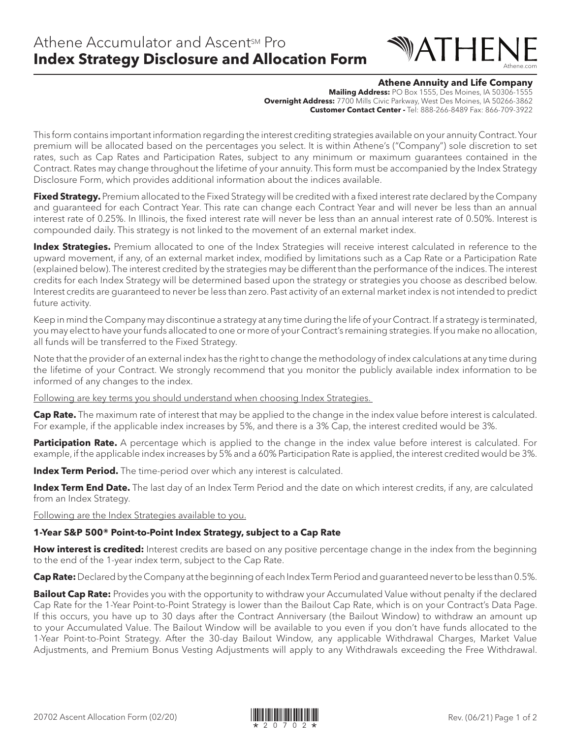# WATHEI Athene.com

#### **Athene Annuity and Life Company**

**Mailing Address:** PO Box 1555, Des Moines, IA 50306-1555 **Overnight Address:** 7700 Mills Civic Parkway, West Des Moines, IA 50266-3862 **Customer Contact Center -** Tel: 888-266-8489 Fax: 866-709-3922

This form contains important information regarding the interest crediting strategies available on your annuity Contract. Your premium will be allocated based on the percentages you select. It is within Athene's ("Company") sole discretion to set rates, such as Cap Rates and Participation Rates, subject to any minimum or maximum guarantees contained in the Contract. Rates may change throughout the lifetime of your annuity. This form must be accompanied by the Index Strategy Disclosure Form, which provides additional information about the indices available.

**Fixed Strategy.** Premium allocated to the Fixed Strategy will be credited with a fixed interest rate declared by the Company and guaranteed for each Contract Year. This rate can change each Contract Year and will never be less than an annual interest rate of 0.25%. In Illinois, the fixed interest rate will never be less than an annual interest rate of 0.50%. Interest is compounded daily. This strategy is not linked to the movement of an external market index.

**Index Strategies.** Premium allocated to one of the Index Strategies will receive interest calculated in reference to the upward movement, if any, of an external market index, modified by limitations such as a Cap Rate or a Participation Rate (explained below). The interest credited by the strategies may be different than the performance of the indices. The interest credits for each Index Strategy will be determined based upon the strategy or strategies you choose as described below. Interest credits are guaranteed to never be less than zero. Past activity of an external market index is not intended to predict future activity.

Keep in mind the Company may discontinue a strategy at any time during the life of your Contract. If a strategy is terminated, you may elect to have your funds allocated to one or more of your Contract's remaining strategies. If you make no allocation, all funds will be transferred to the Fixed Strategy.

Note that the provider of an external index has the right to change the methodology of index calculations at any time during the lifetime of your Contract. We strongly recommend that you monitor the publicly available index information to be informed of any changes to the index.

Following are key terms you should understand when choosing Index Strategies.

**Cap Rate.** The maximum rate of interest that may be applied to the change in the index value before interest is calculated. For example, if the applicable index increases by 5%, and there is a 3% Cap, the interest credited would be 3%.

**Participation Rate.** A percentage which is applied to the change in the index value before interest is calculated. For example, if the applicable index increases by 5% and a 60% Participation Rate is applied, the interest credited would be 3%.

**Index Term Period.** The time-period over which any interest is calculated.

**Index Term End Date.** The last day of an Index Term Period and the date on which interest credits, if any, are calculated from an Index Strategy.

Following are the Index Strategies available to you.

### **1-Year S&P 500® Point-to-Point Index Strategy, subject to a Cap Rate**

**How interest is credited:** Interest credits are based on any positive percentage change in the index from the beginning to the end of the 1-year index term, subject to the Cap Rate.

**Cap Rate:** Declared by the Company at the beginning of each Index Term Period and guaranteed never to be less than 0.5%.

**Bailout Cap Rate:** Provides you with the opportunity to withdraw your Accumulated Value without penalty if the declared Cap Rate for the 1-Year Point-to-Point Strategy is lower than the Bailout Cap Rate, which is on your Contract's Data Page. If this occurs, you have up to 30 days after the Contract Anniversary (the Bailout Window) to withdraw an amount up to your Accumulated Value. The Bailout Window will be available to you even if you don't have funds allocated to the 1-Year Point-to-Point Strategy. After the 30-day Bailout Window, any applicable Withdrawal Charges, Market Value Adjustments, and Premium Bonus Vesting Adjustments will apply to any Withdrawals exceeding the Free Withdrawal.